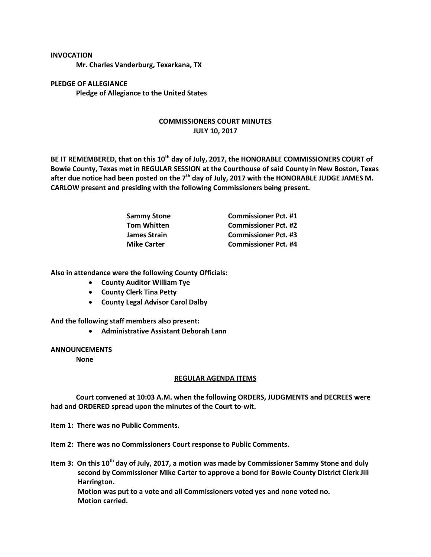## **INVOCATION**

**Mr. Charles Vanderburg, Texarkana, TX**

**PLEDGE OF ALLEGIANCE Pledge of Allegiance to the United States**

## **COMMISSIONERS COURT MINUTES JULY 10, 2017**

**BE IT REMEMBERED, that on this 10th day of July, 2017, the HONORABLE COMMISSIONERS COURT of Bowie County, Texas met in REGULAR SESSION at the Courthouse of said County in New Boston, Texas after due notice had been posted on the 7th day of July, 2017 with the HONORABLE JUDGE JAMES M. CARLOW present and presiding with the following Commissioners being present.**

| <b>Sammy Stone</b>  | <b>Commissioner Pct. #1</b> |
|---------------------|-----------------------------|
| <b>Tom Whitten</b>  | <b>Commissioner Pct. #2</b> |
| <b>James Strain</b> | <b>Commissioner Pct. #3</b> |
| <b>Mike Carter</b>  | <b>Commissioner Pct. #4</b> |

**Also in attendance were the following County Officials:**

- **County Auditor William Tye**
- **County Clerk Tina Petty**
- **County Legal Advisor Carol Dalby**

**And the following staff members also present:**

**Administrative Assistant Deborah Lann**

**ANNOUNCEMENTS**

**None**

## **REGULAR AGENDA ITEMS**

**Court convened at 10:03 A.M. when the following ORDERS, JUDGMENTS and DECREES were had and ORDERED spread upon the minutes of the Court to-wit.**

**Item 1: There was no Public Comments.**

**Item 2: There was no Commissioners Court response to Public Comments.**

**Item 3: On this 10th day of July, 2017, a motion was made by Commissioner Sammy Stone and duly second by Commissioner Mike Carter to approve a bond for Bowie County District Clerk Jill Harrington. Motion was put to a vote and all Commissioners voted yes and none voted no. Motion carried.**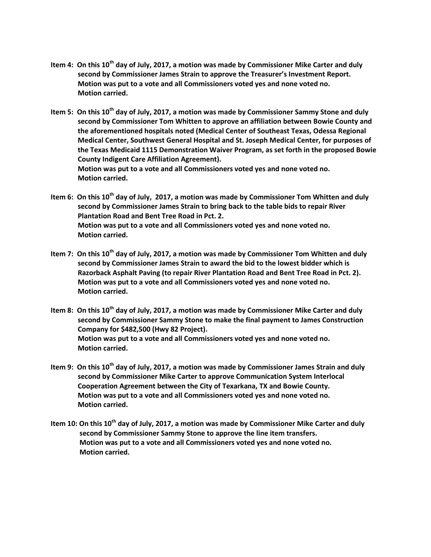- **Item 4: On this 10th day of July, 2017, a motion was made by Commissioner Mike Carter and duly second by Commissioner James Strain to approve the Treasurer's Investment Report. Motion was put to a vote and all Commissioners voted yes and none voted no. Motion carried.**
- **Item 5: On this 10th day of July, 2017, a motion was made by Commissioner Sammy Stone and duly second by Commissioner Tom Whitten to approve an affiliation between Bowie County and the aforementioned hospitals noted (Medical Center of Southeast Texas, Odessa Regional Medical Center, Southwest General Hospital and St. Joseph Medical Center, for purposes of the Texas Medicaid 1115 Demonstration Waiver Program, as set forth in the proposed Bowie County Indigent Care Affiliation Agreement). Motion was put to a vote and all Commissioners voted yes and none voted no. Motion carried.**
- **Item 6: On this 10th day of July, 2017, a motion was made by Commissioner Tom Whitten and duly second by Commissioner James Strain to bring back to the table bids to repair River Plantation Road and Bent Tree Road in Pct. 2. Motion was put to a vote and all Commissioners voted yes and none voted no. Motion carried.**
- **Item 7: On this 10th day of July, 2017, a motion was made by Commissioner Tom Whitten and duly second by Commissioner James Strain to award the bid to the lowest bidder which is Razorback Asphalt Paving (to repair River Plantation Road and Bent Tree Road in Pct. 2). Motion was put to a vote and all Commissioners voted yes and none voted no. Motion carried.**
- **Item 8: On this 10th day of July, 2017, a motion was made by Commissioner Mike Carter and duly second by Commissioner Sammy Stone to make the final payment to James Construction Company for \$482,500 (Hwy 82 Project). Motion was put to a vote and all Commissioners voted yes and none voted no. Motion carried.**
- **Item 9: On this 10th day of July, 2017, a motion was made by Commissioner James Strain and duly second by Commissioner Mike Carter to approve Communication System Interlocal Cooperation Agreement between the City of Texarkana, TX and Bowie County. Motion was put to a vote and all Commissioners voted yes and none voted no. Motion carried.**
- **Item 10: On this 10th day of July, 2017, a motion was made by Commissioner Mike Carter and duly second by Commissioner Sammy Stone to approve the line item transfers. Motion was put to a vote and all Commissioners voted yes and none voted no. Motion carried.**